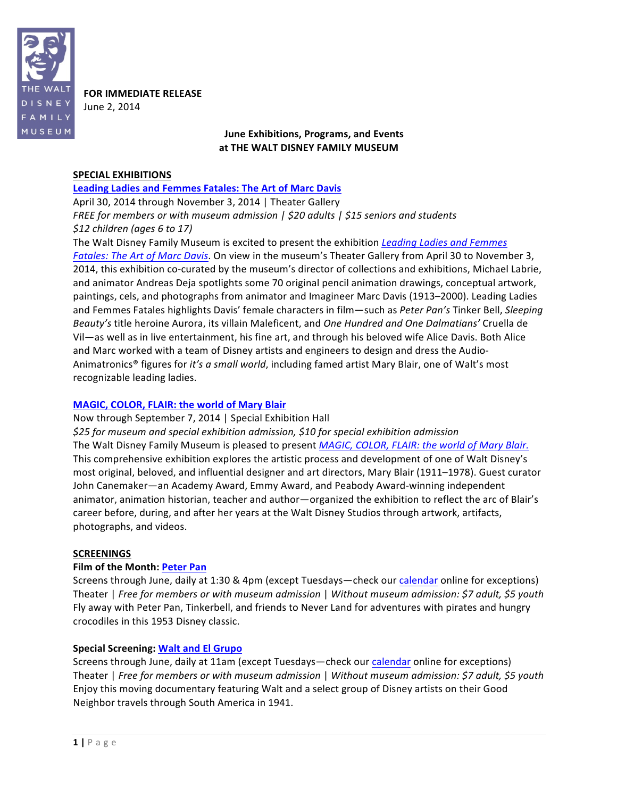

**FOR IMMEDIATE RELEASE** 

June 2, 2014

# **June Exhibitions, Programs, and"Events** at THE WALT DISNEY FAMILY MUSEUM

### **SPECIAL EXHIBITIONS**

**Leading Ladies and Femmes Fatales: The Art of Marc Davis** 

April 30, 2014 through November 3, 2014 | Theater Gallery *FREE for members or with museum admission | \$20 adults | \$15 seniors and students \$12\$children\$(ages\$6\$to\$17)*

The Walt Disney Family Museum is excited to present the exhibition *Leading Ladies and Femmes Fatales: The Art of Marc Davis*. On view in the museum's Theater Gallery from April 30 to November 3, 2014, this exhibition co-curated by the museum's director of collections and exhibitions, Michael Labrie, and animator Andreas Deja spotlights some 70 original pencil animation drawings, conceptual artwork, paintings, cels, and photographs from animator and Imagineer Marc Davis (1913–2000). Leading Ladies and Femmes Fatales highlights Davis' female characters in film—such as *Peter Pan's* Tinker Bell, Sleeping *Beauty's* title heroine Aurora, its villain Maleficent, and *One Hundred and One Dalmatians'* Cruella de Vil—as well as in live entertainment, his fine art, and through his beloved wife Alice Davis. Both Alice and Marc worked with a team of Disney artists and engineers to design and dress the Audio-Animatronics<sup>®</sup> figures for *it's a small world*, including famed artist Mary Blair, one of Walt's most recognizable leading ladies.

# **MAGIC, COLOR, FLAIR: the world of Mary Blair**

Now through September 7, 2014 | Special Exhibition Hall

*\$25\$for museum\$and\$special\$exhibition\$admission,\$\$10\$for\$special\$exhibition\$admission* The Walt Disney Family Museum is pleased to present *MAGIC, COLOR, FLAIR: the world of Mary Blair.* This comprehensive exhibition explores the artistic process and development of one of Walt Disney's most original, beloved, and influential designer and art directors, Mary Blair (1911–1978). Guest curator John Canemaker—an Academy Award, Emmy Award, and Peabody Award-winning independent animator, animation historian, teacher and author—organized the exhibition to reflect the arc of Blair's career before, during, and after her years at the Walt Disney Studios through artwork, artifacts, photographs, and videos.

# **SCREENINGS"**

# **Film of the Month: Peter Pan**

Screens through June, daily at 1:30 & 4pm (except Tuesdays—check our calendar online for exceptions) Theater | *Free for members or with museum admission* | Without museum admission: \$7 adult, \$5 youth Fly away with Peter Pan, Tinkerbell, and friends to Never Land for adventures with pirates and hungry crocodiles in this 1953 Disney classic.

# **Special Screening: Walt and El Grupo**

Screens through June, daily at 11am (except Tuesdays—check our calendar online for exceptions) Theater | *Free for members or with museum admission* | Without museum admission: \$7 adult, \$5 youth Enjoy this moving documentary featuring Walt and a select group of Disney artists on their Good Neighbor travels through South America in 1941.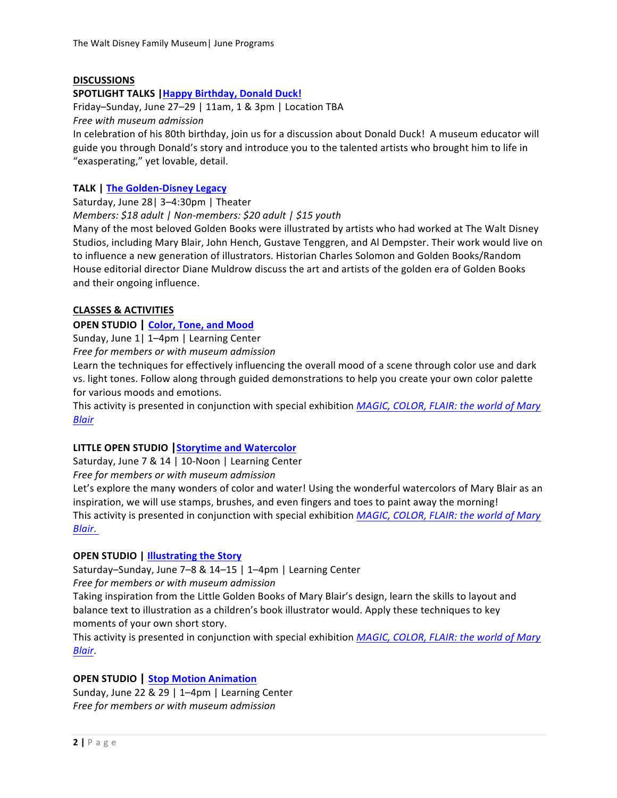# **DISCUSSIONS**

#### SPOTLIGHT TALKS | Happy Birthday, Donald Duck!

Friday–Sunday, June 27–29 | 11am, 1 & 3pm | Location TBA *Free with\$museum admission*

In celebration of his 80th birthday, join us for a discussion about Donald Duck! A museum educator will guide you through Donald's story and introduce you to the talented artists who brought him to life in "exasperating," yet lovable, detail.

### **TALK | The Golden-Disney Legacy**

Saturday, June 28 | 3–4:30pm | Theater

*Members:* \$18 adult | Non-members: \$20 adult | \$15 youth

Many of the most beloved Golden Books were illustrated by artists who had worked at The Walt Disney Studios, including Mary Blair, John Hench, Gustave Tenggren, and Al Dempster. Their work would live on to influence a new generation of illustrators. Historian Charles Solomon and Golden Books/Random House editorial director Diane Muldrow discuss the art and artists of the golden era of Golden Books and their ongoing influence.

### **CLASSES"& ACTIVITIES**

### **OPEN STUDIO** | **Color, Tone, and Mood**

Sunday, June 1| 1–4pm | Learning Center

Free for members or with museum admission

Learn the techniques for effectively influencing the overall mood of a scene through color use and dark vs. light tones. Follow along through guided demonstrations to help you create your own color palette for various moods and emotions.

This activity is presented in conjunction with special exhibition *MAGIC, COLOR, FLAIR: the world of Mary Blair*

# **LITTLE OPEN STUDIO** Storytime and Watercolor

Saturday, June 7 & 14 | 10-Noon | Learning Center

Free for members or with museum admission

Let's explore the many wonders of color and water! Using the wonderful watercolors of Mary Blair as an inspiration, we will use stamps, brushes, and even fingers and toes to paint away the morning! This activity is presented in conjunction with special exhibition *MAGIC, COLOR, FLAIR: the world of Mary Blair*.

# **OPEN STUDIO | Illustrating the Story**

Saturday–Sunday, June 7–8 & 14–15 | 1–4pm | Learning Center

Free for members or with museum admission

Taking inspiration from the Little Golden Books of Mary Blair's design, learn the skills to layout and balance text to illustration as a children's book illustrator would. Apply these techniques to key moments of your own short story.

This activity is presented in conjunction with special exhibition *MAGIC, COLOR, FLAIR: the world of Mary Blair*.

# **OPEN"STUDIO | Stop"Motion"Animation**

Sunday, June 22 & 29 | 1-4pm | Learning Center Free for members or with museum admission